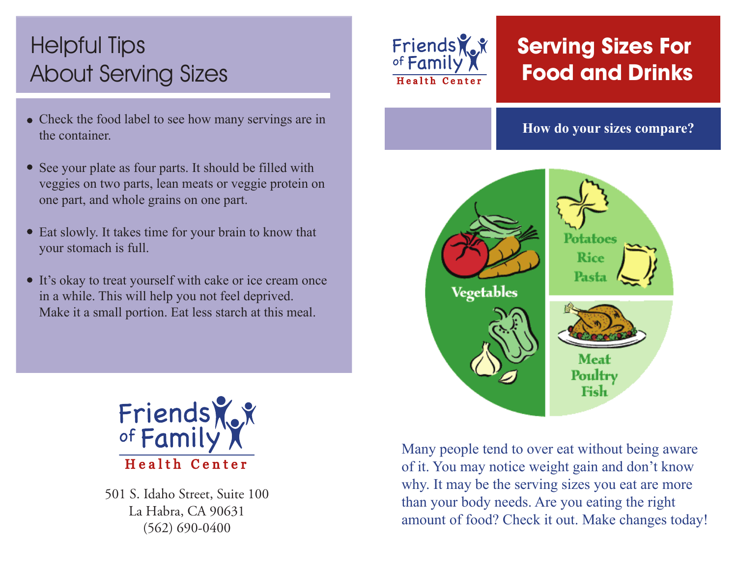# Helpful Tips About Serving Sizes

- Check the food label to see how many servings are in the container.
- See your plate as four parts. It should be filled with veggies on two parts, lean meats or veggie protein on one part, and whole grains on one part.
- Eat slowly. It takes time for your brain to know that your stomach is full.
- It's okay to treat yourself with cake or ice cream once in a while. This will help you not feel deprived. Make it a small portion. Eat less starch at this meal.



501 S. Idaho Street, Suite 100 La Habra, CA 90631 (562) 690-0400



## **Serving Sizes For Food and Drinks**

#### **How do your sizes compare?**



Many people tend to over eat without being aware of it. You may notice weight gain and don't know why. It may be the serving sizes you eat are more than your body needs. Are you eating the right amount of food? Check it out. Make changes today!